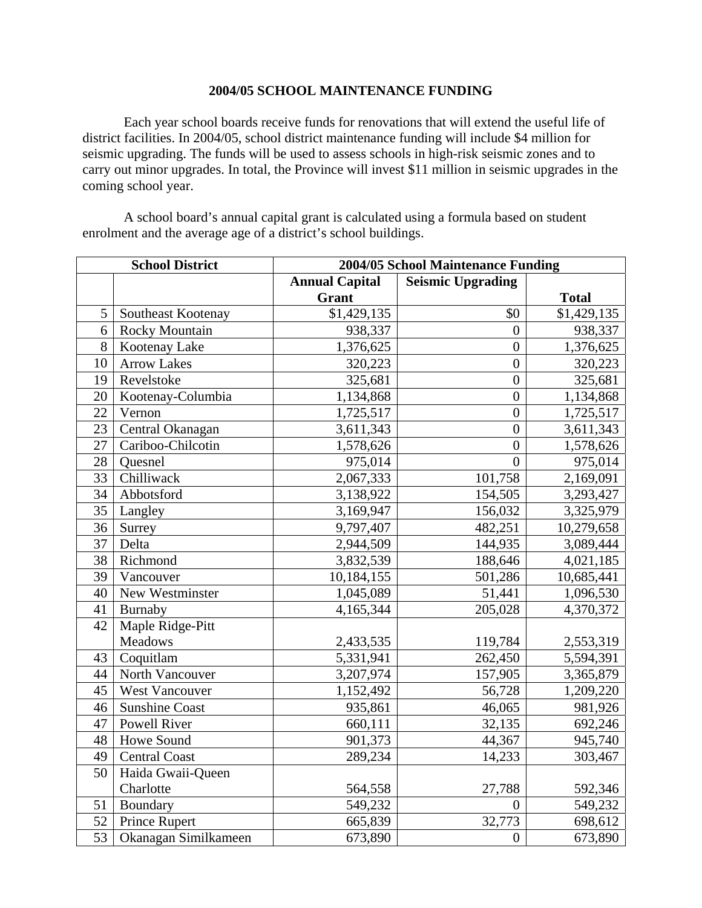## **2004/05 SCHOOL MAINTENANCE FUNDING**

Each year school boards receive funds for renovations that will extend the useful life of district facilities. In 2004/05, school district maintenance funding will include \$4 million for seismic upgrading. The funds will be used to assess schools in high-risk seismic zones and to carry out minor upgrades. In total, the Province will invest \$11 million in seismic upgrades in the coming school year.

A school board's annual capital grant is calculated using a formula based on student enrolment and the average age of a district's school buildings.

| <b>School District</b> |                       | 2004/05 School Maintenance Funding |                          |              |
|------------------------|-----------------------|------------------------------------|--------------------------|--------------|
|                        |                       | <b>Annual Capital</b>              | <b>Seismic Upgrading</b> |              |
|                        |                       | <b>Grant</b>                       |                          | <b>Total</b> |
| 5                      | Southeast Kootenay    | \$1,429,135                        | \$0                      | \$1,429,135  |
| 6                      | Rocky Mountain        | 938,337                            | $\overline{0}$           | 938,337      |
| 8                      | Kootenay Lake         | 1,376,625                          | $\overline{0}$           | 1,376,625    |
| 10                     | <b>Arrow Lakes</b>    | 320,223                            | $\overline{0}$           | 320,223      |
| 19                     | Revelstoke            | 325,681                            | $\overline{0}$           | 325,681      |
| 20                     | Kootenay-Columbia     | 1,134,868                          | $\overline{0}$           | 1,134,868    |
| 22                     | Vernon                | 1,725,517                          | $\boldsymbol{0}$         | 1,725,517    |
| 23                     | Central Okanagan      | 3,611,343                          | $\overline{0}$           | 3,611,343    |
| 27                     | Cariboo-Chilcotin     | 1,578,626                          | $\overline{0}$           | 1,578,626    |
| 28                     | Quesnel               | 975,014                            | $\overline{0}$           | 975,014      |
| 33                     | Chilliwack            | 2,067,333                          | 101,758                  | 2,169,091    |
| 34                     | Abbotsford            | 3,138,922                          | 154,505                  | 3,293,427    |
| 35                     | Langley               | 3,169,947                          | 156,032                  | 3,325,979    |
| 36                     | Surrey                | 9,797,407                          | 482,251                  | 10,279,658   |
| 37                     | Delta                 | 2,944,509                          | 144,935                  | 3,089,444    |
| 38                     | Richmond              | 3,832,539                          | 188,646                  | 4,021,185    |
| 39                     | Vancouver             | 10,184,155                         | 501,286                  | 10,685,441   |
| 40                     | New Westminster       | 1,045,089                          | 51,441                   | 1,096,530    |
| 41                     | Burnaby               | 4,165,344                          | 205,028                  | 4,370,372    |
| 42                     | Maple Ridge-Pitt      |                                    |                          |              |
|                        | Meadows               | 2,433,535                          | 119,784                  | 2,553,319    |
| 43                     | Coquitlam             | 5,331,941                          | 262,450                  | 5,594,391    |
| 44                     | North Vancouver       | 3,207,974                          | 157,905                  | 3,365,879    |
| 45                     | West Vancouver        | 1,152,492                          | 56,728                   | 1,209,220    |
| 46                     | <b>Sunshine Coast</b> | 935,861                            | 46,065                   | 981,926      |
| 47                     | <b>Powell River</b>   | 660,111                            | 32,135                   | 692,246      |
| 48                     | Howe Sound            | 901,373                            | 44,367                   | 945,740      |
| 49                     | <b>Central Coast</b>  | 289,234                            | 14,233                   | 303,467      |
| 50                     | Haida Gwaii-Queen     |                                    |                          |              |
|                        | Charlotte             | 564,558                            | 27,788                   | 592,346      |
| 51                     | Boundary              | 549,232                            | $\overline{0}$           | 549,232      |
| 52                     | <b>Prince Rupert</b>  | 665,839                            | 32,773                   | 698,612      |
| 53                     | Okanagan Similkameen  | 673,890                            | $\boldsymbol{0}$         | 673,890      |